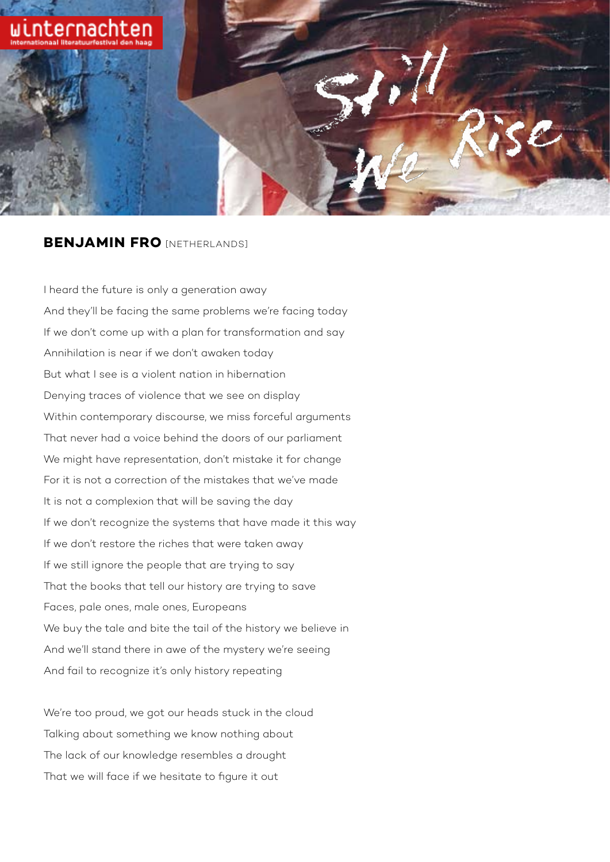

## **BENJAMIN FRO** [NETHERLANDS]

I heard the future is only a generation away And they'll be facing the same problems we're facing today If we don't come up with a plan for transformation and say Annihilation is near if we don't awaken today But what I see is a violent nation in hibernation Denying traces of violence that we see on display Within contemporary discourse, we miss forceful arguments That never had a voice behind the doors of our parliament We might have representation, don't mistake it for change For it is not a correction of the mistakes that we've made It is not a complexion that will be saving the day If we don't recognize the systems that have made it this way If we don't restore the riches that were taken away If we still ignore the people that are trying to say That the books that tell our history are trying to save Faces, pale ones, male ones, Europeans We buy the tale and bite the tail of the history we believe in And we'll stand there in awe of the mystery we're seeing And fail to recognize it's only history repeating

We're too proud, we got our heads stuck in the cloud Talking about something we know nothing about The lack of our knowledge resembles a drought That we will face if we hesitate to figure it out